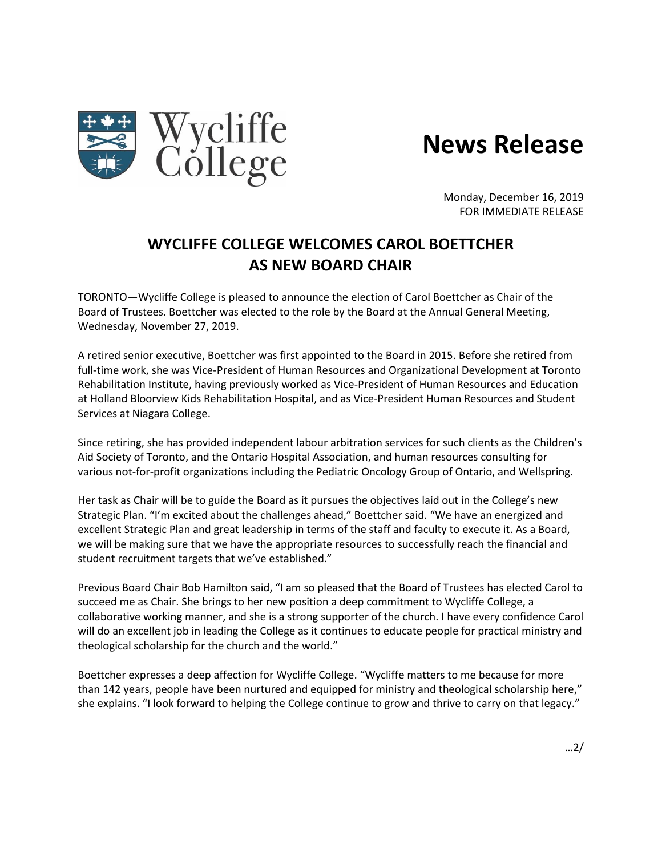

## **News Release**

Monday, December 16, 2019 FOR IMMEDIATE RELEASE

## **WYCLIFFE COLLEGE WELCOMES CAROL BOETTCHER AS NEW BOARD CHAIR**

TORONTO—Wycliffe College is pleased to announce the election of Carol Boettcher as Chair of the Board of Trustees. Boettcher was elected to the role by the Board at the Annual General Meeting, Wednesday, November 27, 2019.

A retired senior executive, Boettcher was first appointed to the Board in 2015. Before she retired from full-time work, she was Vice-President of Human Resources and Organizational Development at Toronto Rehabilitation Institute, having previously worked as Vice-President of Human Resources and Education at Holland Bloorview Kids Rehabilitation Hospital, and as Vice-President Human Resources and Student Services at Niagara College.

Since retiring, she has provided independent labour arbitration services for such clients as the Children's Aid Society of Toronto, and the Ontario Hospital Association, and human resources consulting for various not-for-profit organizations including the Pediatric Oncology Group of Ontario, and Wellspring.

Her task as Chair will be to guide the Board as it pursues the objectives laid out in the College's new Strategic Plan. "I'm excited about the challenges ahead," Boettcher said. "We have an energized and excellent Strategic Plan and great leadership in terms of the staff and faculty to execute it. As a Board, we will be making sure that we have the appropriate resources to successfully reach the financial and student recruitment targets that we've established."

Previous Board Chair Bob Hamilton said, "I am so pleased that the Board of Trustees has elected Carol to succeed me as Chair. She brings to her new position a deep commitment to Wycliffe College, a collaborative working manner, and she is a strong supporter of the church. I have every confidence Carol will do an excellent job in leading the College as it continues to educate people for practical ministry and theological scholarship for the church and the world."

Boettcher expresses a deep affection for Wycliffe College. "Wycliffe matters to me because for more than 142 years, people have been nurtured and equipped for ministry and theological scholarship here," she explains. "I look forward to helping the College continue to grow and thrive to carry on that legacy."